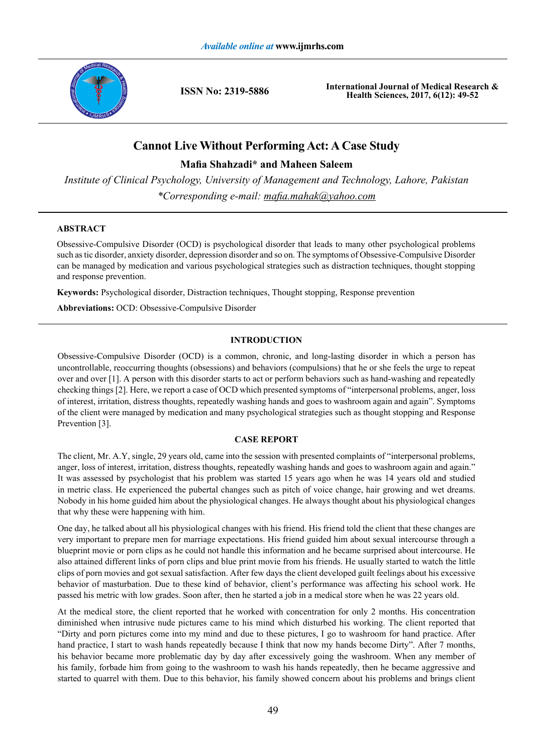

**ISSN No: 2319-5886**

**International Journal of Medical Research & Health Sciences, 2017, 6(12): 49-52**

# **Cannot Live Without Performing Act: A Case Study**

**Mafia Shahzadi\* and Maheen Saleem**

*Institute of Clinical Psychology, University of Management and Technology, Lahore, Pakistan \*Corresponding e-mail: mafia.mahak@yahoo.com*

# **ABSTRACT**

Obsessive-Compulsive Disorder (OCD) is psychological disorder that leads to many other psychological problems such as tic disorder, anxiety disorder, depression disorder and so on. The symptoms of Obsessive-Compulsive Disorder can be managed by medication and various psychological strategies such as distraction techniques, thought stopping and response prevention.

**Keywords:** Psychological disorder, Distraction techniques, Thought stopping, Response prevention

**Abbreviations:** OCD: Obsessive-Compulsive Disorder

# **INTRODUCTION**

Obsessive-Compulsive Disorder (OCD) is a common, chronic, and long-lasting disorder in which a person has uncontrollable, reoccurring thoughts (obsessions) and behaviors (compulsions) that he or she feels the urge to repeat over and over [1]. A person with this disorder starts to act or perform behaviors such as hand-washing and repeatedly checking things [2]. Here, we report a case of OCD which presented symptoms of "interpersonal problems, anger, loss of interest, irritation, distress thoughts, repeatedly washing hands and goes to washroom again and again". Symptoms of the client were managed by medication and many psychological strategies such as thought stopping and Response Prevention [3].

# **CASE REPORT**

The client, Mr. A.Y, single, 29 years old, came into the session with presented complaints of "interpersonal problems, anger, loss of interest, irritation, distress thoughts, repeatedly washing hands and goes to washroom again and again." It was assessed by psychologist that his problem was started 15 years ago when he was 14 years old and studied in metric class. He experienced the pubertal changes such as pitch of voice change, hair growing and wet dreams. Nobody in his home guided him about the physiological changes. He always thought about his physiological changes that why these were happening with him.

One day, he talked about all his physiological changes with his friend. His friend told the client that these changes are very important to prepare men for marriage expectations. His friend guided him about sexual intercourse through a blueprint movie or porn clips as he could not handle this information and he became surprised about intercourse. He also attained different links of porn clips and blue print movie from his friends. He usually started to watch the little clips of porn movies and got sexual satisfaction. After few days the client developed guilt feelings about his excessive behavior of masturbation. Due to these kind of behavior, client's performance was affecting his school work. He passed his metric with low grades. Soon after, then he started a job in a medical store when he was 22 years old.

At the medical store, the client reported that he worked with concentration for only 2 months. His concentration diminished when intrusive nude pictures came to his mind which disturbed his working. The client reported that "Dirty and porn pictures come into my mind and due to these pictures, I go to washroom for hand practice. After hand practice, I start to wash hands repeatedly because I think that now my hands become Dirty". After 7 months, his behavior became more problematic day by day after excessively going the washroom. When any member of his family, forbade him from going to the washroom to wash his hands repeatedly, then he became aggressive and started to quarrel with them. Due to this behavior, his family showed concern about his problems and brings client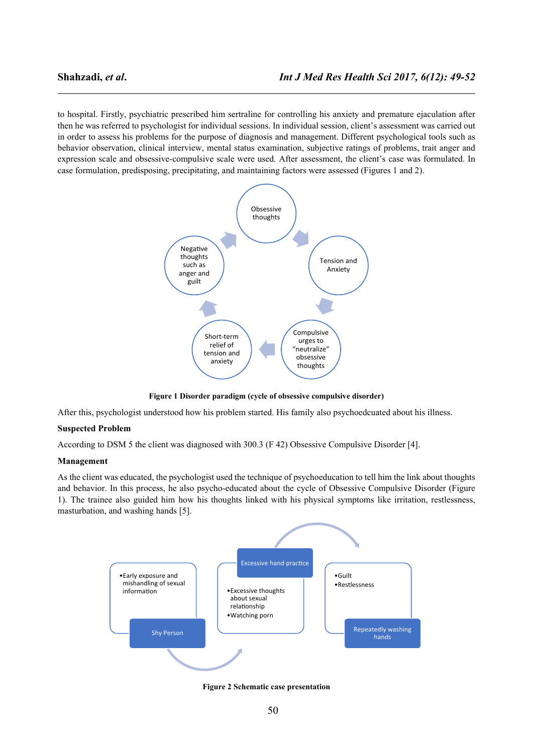to hospital. Firstly, psychiatric prescribed him sertraline for controlling his anxiety and premature ejaculation after then he was referred to psychologist for individual sessions. In individual session, client's assessment was carried out in order to assess his problems for the purpose of diagnosis and management. Different psychological tools such as behavior observation, clinical interview, mental status examination, subjective ratings of problems, trait anger and expression scale and obsessive-compulsive scale were used. After assessment, the client's case was formulated. In case formulation, predisposing, precipitating, and maintaining factors were assessed (Figures 1 and 2).



**Figure 1 Disorder paradigm (cycle of obsessive compulsive disorder)** 

After this, psychologist understood how his problem started. His family also psychoedcuated about his illness.

# **Suspected Problem**

According to DSM 5 the client was diagnosed with 300.3 (F 42) Obsessive Compulsive Disorder [4].

#### **Management**

As the client was educated, the psychologist used the technique of psychoeducation to tell him the link about thoughts and behavior. In this process, he also psycho-educated about the cycle of Obsessive Compulsive Disorder (Figure 1). The trainee also guided him how his thoughts linked with his physical symptoms like irritation, restlessness, masturbation, and washing hands [5].



**Figure 2 Schematic case presentation**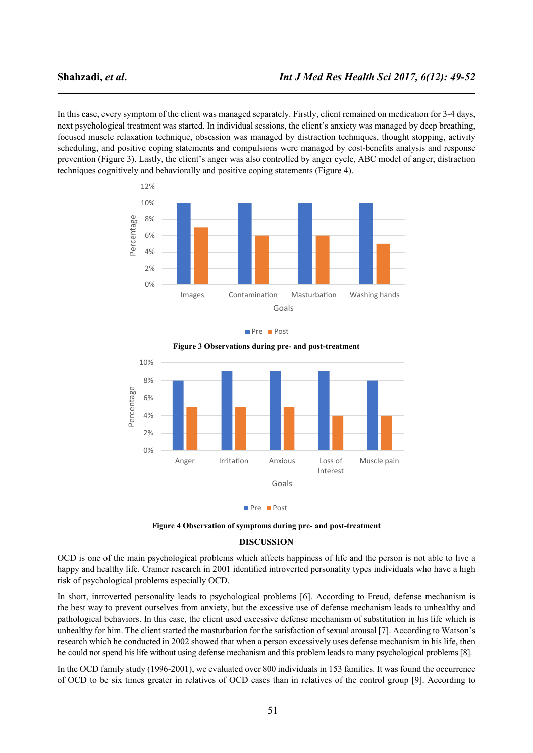In this case, every symptom of the client was managed separately. Firstly, client remained on medication for 3-4 days, next psychological treatment was started. In individual sessions, the client's anxiety was managed by deep breathing, focused muscle relaxation technique, obsession was managed by distraction techniques, thought stopping, activity scheduling, and positive coping statements and compulsions were managed by cost-benefits analysis and response prevention (Figure 3). Lastly, the client's anger was also controlled by anger cycle, ABC model of anger, distraction techniques cognitively and behaviorally and positive coping statements (Figure 4).



Pre **Post** 



Pre **Post** 

**Figure 4 Observation of symptoms during pre- and post-treatment**

#### **DISCUSSION**

OCD is one of the main psychological problems which affects happiness of life and the person is not able to live a happy and healthy life. Cramer research in 2001 identified introverted personality types individuals who have a high risk of psychological problems especially OCD.

In short, introverted personality leads to psychological problems [6]. According to Freud, defense mechanism is the best way to prevent ourselves from anxiety, but the excessive use of defense mechanism leads to unhealthy and pathological behaviors. In this case, the client used excessive defense mechanism of substitution in his life which is unhealthy for him. The client started the masturbation for the satisfaction of sexual arousal [7]. According to Watson's research which he conducted in 2002 showed that when a person excessively uses defense mechanism in his life, then he could not spend his life without using defense mechanism and this problem leads to many psychological problems [8].

In the OCD family study (1996-2001), we evaluated over 800 individuals in 153 families. It was found the occurrence of OCD to be six times greater in relatives of OCD cases than in relatives of the control group [9]. According to